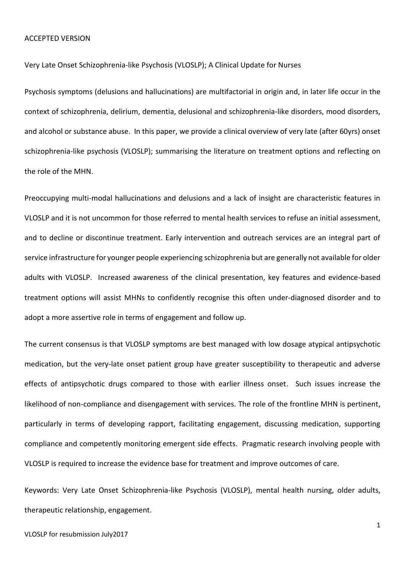Very Late Onset Schizophrenia-like Psychosis (VLOSLP); A Clinical Update for Nurses

Psychosis symptoms (delusions and hallucinations) are multifactorial in origin and, in later life occur in the context of schizophrenia, delirium, dementia, delusional and schizophrenia-like disorders, mood disorders, and alcohol or substance abuse. In this paper, we provide a clinical overview of very late (after 60yrs) onset schizophrenia-like psychosis (VLOSLP); summarising the literature on treatment options and reflecting on the role of the MHN.

Preoccupying multi-modal hallucinations and delusions and a lack of insight are characteristic features in VLOSLP and it is not uncommon for those referred to mental health services to refuse an initial assessment, and to decline or discontinue treatment. Early intervention and outreach services are an integral part of service infrastructure for younger people experiencing schizophrenia but are generally not available for older adults with VLOSLP. Increased awareness of the clinical presentation, key features and evidence-based treatment options will assist MHNs to confidently recognise this often under-diagnosed disorder and to adopt a more assertive role in terms of engagement and follow up.

The current consensus is that VLOSLP symptoms are best managed with low dosage atypical antipsychotic medication, but the very-late onset patient group have greater susceptibility to therapeutic and adverse effects of antipsychotic drugs compared to those with earlier illness onset. Such issues increase the likelihood of non-compliance and disengagement with services. The role of the frontline MHN is pertinent, particularly in terms of developing rapport, facilitating engagement, discussing medication, supporting compliance and competently monitoring emergent side effects. Pragmatic research involving people with VLOSLP is required to increase the evidence base for treatment and improve outcomes of care.

Keywords: Very Late Onset Schizophrenia-like Psychosis (VLOSLP), mental health nursing, older adults, therapeutic relationship, engagement.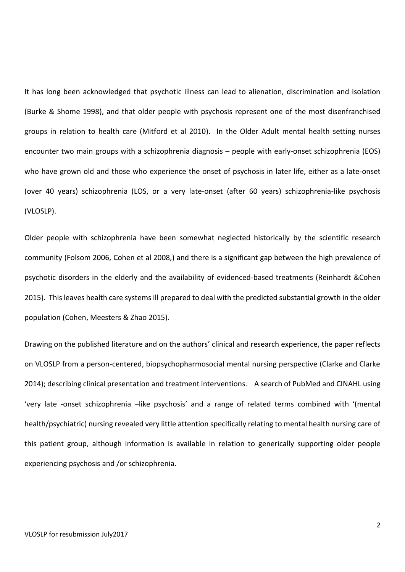It has long been acknowledged that psychotic illness can lead to alienation, discrimination and isolation (Burke & Shome 1998), and that older people with psychosis represent one of the most disenfranchised groups in relation to health care (Mitford et al 2010). In the Older Adult mental health setting nurses encounter two main groups with a schizophrenia diagnosis – people with early-onset schizophrenia (EOS) who have grown old and those who experience the onset of psychosis in later life, either as a late-onset (over 40 years) schizophrenia (LOS, or a very late-onset (after 60 years) schizophrenia-like psychosis (VLOSLP).

Older people with schizophrenia have been somewhat neglected historically by the scientific research community (Folsom 2006, Cohen et al 2008,) and there is a significant gap between the high prevalence of psychotic disorders in the elderly and the availability of evidenced-based treatments (Reinhardt &Cohen 2015). This leaves health care systems ill prepared to deal with the predicted substantial growth in the older population (Cohen, Meesters & Zhao 2015).

Drawing on the published literature and on the authors' clinical and research experience, the paper reflects on VLOSLP from a person-centered, biopsychopharmosocial mental nursing perspective (Clarke and Clarke 2014); describing clinical presentation and treatment interventions. A search of PubMed and CINAHL using 'very late -onset schizophrenia –like psychosis' and a range of related terms combined with '(mental health/psychiatric) nursing revealed very little attention specifically relating to mental health nursing care of this patient group, although information is available in relation to generically supporting older people experiencing psychosis and /or schizophrenia.

2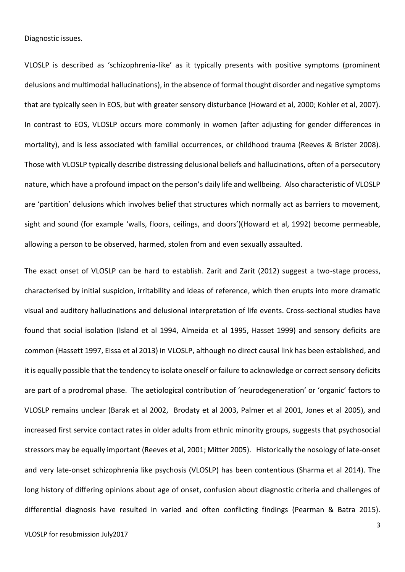Diagnostic issues.

VLOSLP is described as 'schizophrenia-like' as it typically presents with positive symptoms (prominent delusions and multimodal hallucinations), in the absence of formal thought disorder and negative symptoms that are typically seen in EOS, but with greater sensory disturbance (Howard et al, 2000; Kohler et al, 2007). In contrast to EOS, VLOSLP occurs more commonly in women (after adjusting for gender differences in mortality), and is less associated with familial occurrences, or childhood trauma (Reeves & Brister 2008). Those with VLOSLP typically describe distressing delusional beliefs and hallucinations, often of a persecutory nature, which have a profound impact on the person's daily life and wellbeing. Also characteristic of VLOSLP are 'partition' delusions which involves belief that structures which normally act as barriers to movement, sight and sound (for example 'walls, floors, ceilings, and doors')(Howard et al, 1992) become permeable, allowing a person to be observed, harmed, stolen from and even sexually assaulted.

The exact onset of VLOSLP can be hard to establish. Zarit and Zarit (2012) suggest a two-stage process, characterised by initial suspicion, irritability and ideas of reference, which then erupts into more dramatic visual and auditory hallucinations and delusional interpretation of life events. Cross-sectional studies have found that social isolation (Island et al 1994, Almeida et al 1995, Hasset 1999) and sensory deficits are common (Hassett 1997, Eissa et al 2013) in VLOSLP, although no direct causal link has been established, and it is equally possible that the tendency to isolate oneself or failure to acknowledge or correct sensory deficits are part of a prodromal phase. The aetiological contribution of 'neurodegeneration' or 'organic' factors to VLOSLP remains unclear (Barak et al 2002, Brodaty et al 2003, Palmer et al 2001, Jones et al 2005), and increased first service contact rates in older adults from ethnic minority groups, suggests that psychosocial stressors may be equally important (Reeves et al, 2001; Mitter 2005). Historically the nosology of late-onset and very late-onset schizophrenia like psychosis (VLOSLP) has been contentious (Sharma et al 2014). The long history of differing opinions about age of onset, confusion about diagnostic criteria and challenges of differential diagnosis have resulted in varied and often conflicting findings (Pearman & Batra 2015).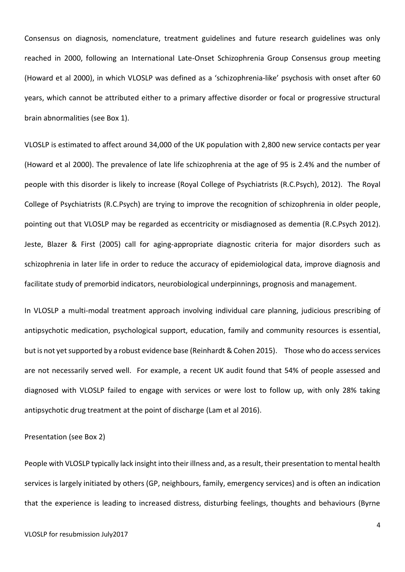Consensus on diagnosis, nomenclature, treatment guidelines and future research guidelines was only reached in 2000, following an International Late-Onset Schizophrenia Group Consensus group meeting (Howard et al 2000), in which VLOSLP was defined as a 'schizophrenia-like' psychosis with onset after 60 years, which cannot be attributed either to a primary affective disorder or focal or progressive structural brain abnormalities (see Box 1).

VLOSLP is estimated to affect around 34,000 of the UK population with 2,800 new service contacts per year (Howard et al 2000). The prevalence of late life schizophrenia at the age of 95 is 2.4% and the number of people with this disorder is likely to increase (Royal College of Psychiatrists (R.C.Psych), 2012). The Royal College of Psychiatrists (R.C.Psych) are trying to improve the recognition of schizophrenia in older people, pointing out that VLOSLP may be regarded as eccentricity or misdiagnosed as dementia (R.C.Psych 2012). Jeste, Blazer & First (2005) call for aging-appropriate diagnostic criteria for major disorders such as schizophrenia in later life in order to reduce the accuracy of epidemiological data, improve diagnosis and facilitate study of premorbid indicators, neurobiological underpinnings, prognosis and management.

In VLOSLP a multi-modal treatment approach involving individual care planning, judicious prescribing of antipsychotic medication, psychological support, education, family and community resources is essential, but is not yet supported by a robust evidence base (Reinhardt & Cohen 2015). Those who do access services are not necessarily served well. For example, a recent UK audit found that 54% of people assessed and diagnosed with VLOSLP failed to engage with services or were lost to follow up, with only 28% taking antipsychotic drug treatment at the point of discharge (Lam et al 2016).

Presentation (see Box 2)

People with VLOSLP typically lack insight into their illness and, as a result, their presentation to mental health services is largely initiated by others (GP, neighbours, family, emergency services) and is often an indication that the experience is leading to increased distress, disturbing feelings, thoughts and behaviours (Byrne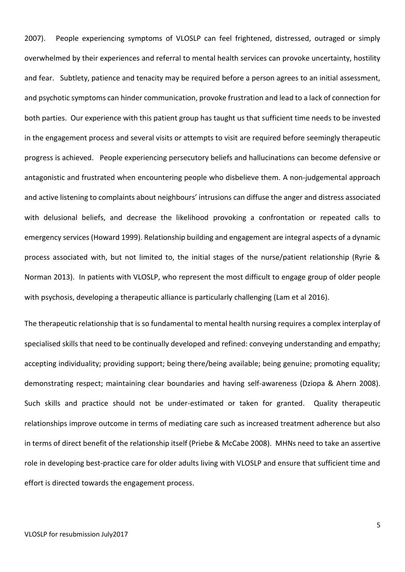2007). People experiencing symptoms of VLOSLP can feel frightened, distressed, outraged or simply overwhelmed by their experiences and referral to mental health services can provoke uncertainty, hostility and fear. Subtlety, patience and tenacity may be required before a person agrees to an initial assessment, and psychotic symptoms can hinder communication, provoke frustration and lead to a lack of connection for both parties. Our experience with this patient group has taught us that sufficient time needs to be invested in the engagement process and several visits or attempts to visit are required before seemingly therapeutic progress is achieved. People experiencing persecutory beliefs and hallucinations can become defensive or antagonistic and frustrated when encountering people who disbelieve them. A non-judgemental approach and active listening to complaints about neighbours' intrusions can diffuse the anger and distress associated with delusional beliefs, and decrease the likelihood provoking a confrontation or repeated calls to emergency services (Howard 1999). Relationship building and engagement are integral aspects of a dynamic process associated with, but not limited to, the initial stages of the nurse/patient relationship (Ryrie & Norman 2013). In patients with VLOSLP, who represent the most difficult to engage group of older people with psychosis, developing a therapeutic alliance is particularly challenging (Lam et al 2016).

The therapeutic relationship that is so fundamental to mental health nursing requires a complex interplay of specialised skills that need to be continually developed and refined: conveying understanding and empathy; accepting individuality; providing support; being there/being available; being genuine; promoting equality; demonstrating respect; maintaining clear boundaries and having self-awareness (Dziopa & Ahern 2008). Such skills and practice should not be under-estimated or taken for granted. Quality therapeutic relationships improve outcome in terms of mediating care such as increased treatment adherence but also in terms of direct benefit of the relationship itself (Priebe & McCabe 2008). MHNs need to take an assertive role in developing best-practice care for older adults living with VLOSLP and ensure that sufficient time and effort is directed towards the engagement process.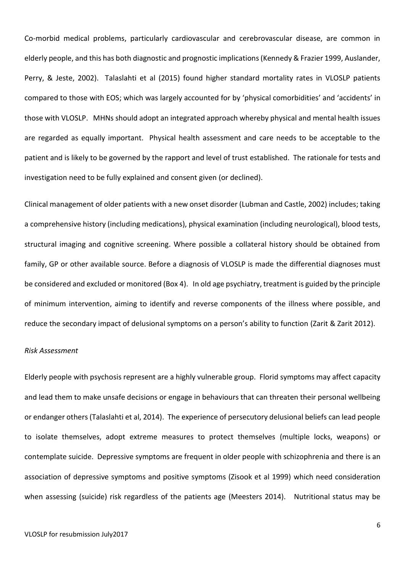Co-morbid medical problems, particularly cardiovascular and cerebrovascular disease, are common in elderly people, and this has both diagnostic and prognostic implications (Kennedy & Frazier 1999, Auslander, Perry, & Jeste, 2002). Talaslahti et al (2015) found higher standard mortality rates in VLOSLP patients compared to those with EOS; which was largely accounted for by 'physical comorbidities' and 'accidents' in those with VLOSLP. MHNs should adopt an integrated approach whereby physical and mental health issues are regarded as equally important. Physical health assessment and care needs to be acceptable to the patient and is likely to be governed by the rapport and level of trust established. The rationale for tests and investigation need to be fully explained and consent given (or declined).

Clinical management of older patients with a new onset disorder (Lubman and Castle, 2002) includes; taking a comprehensive history (including medications), physical examination (including neurological), blood tests, structural imaging and cognitive screening. Where possible a collateral history should be obtained from family, GP or other available source. Before a diagnosis of VLOSLP is made the differential diagnoses must be considered and excluded or monitored (Box 4). In old age psychiatry, treatment is guided by the principle of minimum intervention, aiming to identify and reverse components of the illness where possible, and reduce the secondary impact of delusional symptoms on a person's ability to function (Zarit & Zarit 2012).

#### *Risk Assessment*

Elderly people with psychosis represent are a highly vulnerable group. Florid symptoms may affect capacity and lead them to make unsafe decisions or engage in behaviours that can threaten their personal wellbeing or endanger others (Talaslahti et al, 2014). The experience of persecutory delusional beliefs can lead people to isolate themselves, adopt extreme measures to protect themselves (multiple locks, weapons) or contemplate suicide. Depressive symptoms are frequent in older people with schizophrenia and there is an association of depressive symptoms and positive symptoms (Zisook et al 1999) which need consideration when assessing (suicide) risk regardless of the patients age (Meesters 2014). Nutritional status may be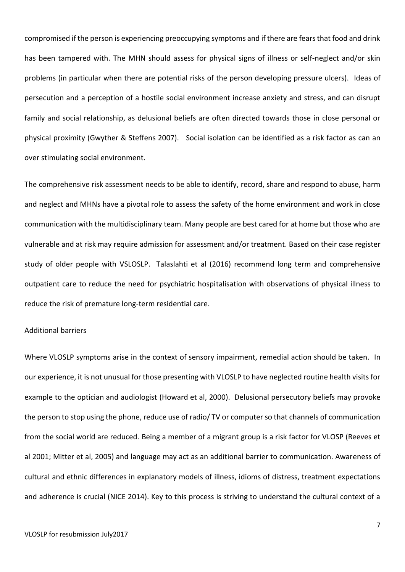compromised if the person is experiencing preoccupying symptoms and if there are fears that food and drink has been tampered with. The MHN should assess for physical signs of illness or self-neglect and/or skin problems (in particular when there are potential risks of the person developing pressure ulcers). Ideas of persecution and a perception of a hostile social environment increase anxiety and stress, and can disrupt family and social relationship, as delusional beliefs are often directed towards those in close personal or physical proximity (Gwyther & Steffens 2007). Social isolation can be identified as a risk factor as can an over stimulating social environment.

The comprehensive risk assessment needs to be able to identify, record, share and respond to abuse, harm and neglect and MHNs have a pivotal role to assess the safety of the home environment and work in close communication with the multidisciplinary team. Many people are best cared for at home but those who are vulnerable and at risk may require admission for assessment and/or treatment. Based on their case register study of older people with VSLOSLP. Talaslahti et al (2016) recommend long term and comprehensive outpatient care to reduce the need for psychiatric hospitalisation with observations of physical illness to reduce the risk of premature long-term residential care.

# Additional barriers

Where VLOSLP symptoms arise in the context of sensory impairment, remedial action should be taken. In our experience, it is not unusual for those presenting with VLOSLP to have neglected routine health visits for example to the optician and audiologist (Howard et al, 2000). Delusional persecutory beliefs may provoke the person to stop using the phone, reduce use of radio/ TV or computer so that channels of communication from the social world are reduced. Being a member of a migrant group is a risk factor for VLOSP (Reeves et al 2001; Mitter et al, 2005) and language may act as an additional barrier to communication. Awareness of cultural and ethnic differences in explanatory models of illness, idioms of distress, treatment expectations and adherence is crucial (NICE 2014). Key to this process is striving to understand the cultural context of a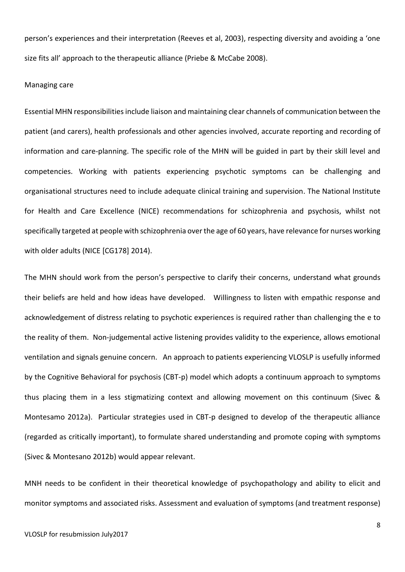person's experiences and their interpretation (Reeves et al, 2003), respecting diversity and avoiding a 'one size fits all' approach to the therapeutic alliance (Priebe & McCabe 2008).

# Managing care

Essential MHN responsibilities include liaison and maintaining clear channels of communication between the patient (and carers), health professionals and other agencies involved, accurate reporting and recording of information and care-planning. The specific role of the MHN will be guided in part by their skill level and competencies. Working with patients experiencing psychotic symptoms can be challenging and organisational structures need to include adequate clinical training and supervision. The National Institute for Health and Care Excellence (NICE) recommendations for schizophrenia and psychosis, whilst not specifically targeted at people with schizophrenia over the age of 60 years, have relevance for nurses working with older adults (NICE [CG178] 2014).

The MHN should work from the person's perspective to clarify their concerns, understand what grounds their beliefs are held and how ideas have developed. Willingness to listen with empathic response and acknowledgement of distress relating to psychotic experiences is required rather than challenging the e to the reality of them. Non-judgemental active listening provides validity to the experience, allows emotional ventilation and signals genuine concern. An approach to patients experiencing VLOSLP is usefully informed by the Cognitive Behavioral for psychosis (CBT-p) model which adopts a continuum approach to symptoms thus placing them in a less stigmatizing context and allowing movement on this continuum (Sivec & Montesamo 2012a). Particular strategies used in CBT-p designed to develop of the therapeutic alliance (regarded as critically important), to formulate shared understanding and promote coping with symptoms (Sivec & Montesano 2012b) would appear relevant.

MNH needs to be confident in their theoretical knowledge of psychopathology and ability to elicit and monitor symptoms and associated risks. Assessment and evaluation of symptoms (and treatment response)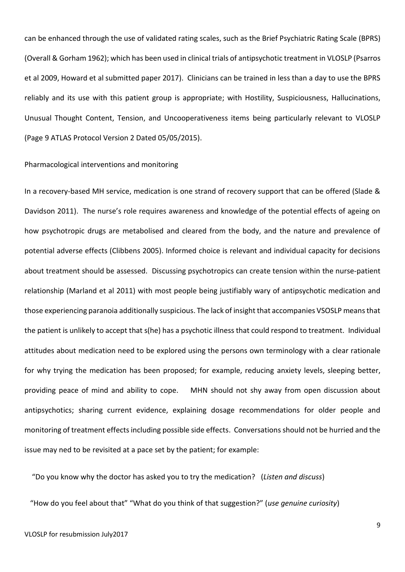can be enhanced through the use of validated rating scales, such as the Brief Psychiatric Rating Scale (BPRS) (Overall & Gorham 1962); which has been used in clinical trials of antipsychotic treatment in VLOSLP (Psarros et al 2009, Howard et al submitted paper 2017). Clinicians can be trained in less than a day to use the BPRS reliably and its use with this patient group is appropriate; with Hostility, Suspiciousness, Hallucinations, Unusual Thought Content, Tension, and Uncooperativeness items being particularly relevant to VLOSLP (Page 9 ATLAS Protocol Version 2 Dated 05/05/2015).

## Pharmacological interventions and monitoring

In a recovery-based MH service, medication is one strand of recovery support that can be offered (Slade & Davidson 2011). The nurse's role requires awareness and knowledge of the potential effects of ageing on how psychotropic drugs are metabolised and cleared from the body, and the nature and prevalence of potential adverse effects (Clibbens 2005). Informed choice is relevant and individual capacity for decisions about treatment should be assessed. Discussing psychotropics can create tension within the nurse-patient relationship (Marland et al 2011) with most people being justifiably wary of antipsychotic medication and those experiencing paranoia additionally suspicious. The lack of insight that accompanies VSOSLP means that the patient is unlikely to accept that s(he) has a psychotic illness that could respond to treatment. Individual attitudes about medication need to be explored using the persons own terminology with a clear rationale for why trying the medication has been proposed; for example, reducing anxiety levels, sleeping better, providing peace of mind and ability to cope. MHN should not shy away from open discussion about antipsychotics; sharing current evidence, explaining dosage recommendations for older people and monitoring of treatment effects including possible side effects. Conversations should not be hurried and the issue may ned to be revisited at a pace set by the patient; for example:

"Do you know why the doctor has asked you to try the medication? (*Listen and discuss*)

"How do you feel about that" "What do you think of that suggestion?" (*use genuine curiosity*)

9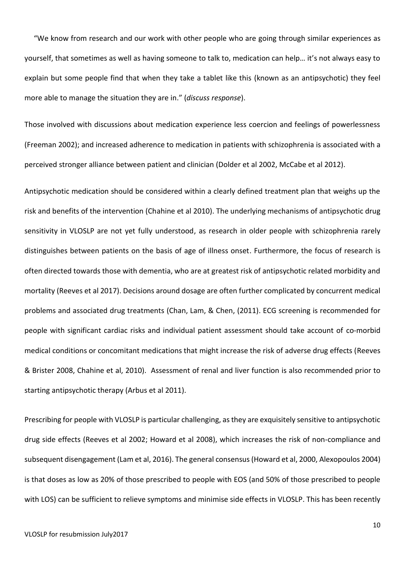"We know from research and our work with other people who are going through similar experiences as yourself, that sometimes as well as having someone to talk to, medication can help… it's not always easy to explain but some people find that when they take a tablet like this (known as an antipsychotic) they feel more able to manage the situation they are in." (*discuss response*).

Those involved with discussions about medication experience less coercion and feelings of powerlessness (Freeman 2002); and increased adherence to medication in patients with schizophrenia is associated with a perceived stronger alliance between patient and clinician (Dolder et al 2002, McCabe et al 2012).

Antipsychotic medication should be considered within a clearly defined treatment plan that weighs up the risk and benefits of the intervention (Chahine et al 2010). The underlying mechanisms of antipsychotic drug sensitivity in VLOSLP are not yet fully understood, as research in older people with schizophrenia rarely distinguishes between patients on the basis of age of illness onset. Furthermore, the focus of research is often directed towards those with dementia, who are at greatest risk of antipsychotic related morbidity and mortality (Reeves et al 2017). Decisions around dosage are often further complicated by concurrent medical problems and associated drug treatments (Chan, Lam, & Chen, (2011). ECG screening is recommended for people with significant cardiac risks and individual patient assessment should take account of co-morbid medical conditions or concomitant medications that might increase the risk of adverse drug effects (Reeves & Brister 2008, Chahine et al, 2010). Assessment of renal and liver function is also recommended prior to starting antipsychotic therapy (Arbus et al 2011).

Prescribing for people with VLOSLP is particular challenging, as they are exquisitely sensitive to antipsychotic drug side effects (Reeves et al 2002; Howard et al 2008), which increases the risk of non-compliance and subsequent disengagement (Lam et al, 2016). The general consensus (Howard et al, 2000, Alexopoulos 2004) is that doses as low as 20% of those prescribed to people with EOS (and 50% of those prescribed to people with LOS) can be sufficient to relieve symptoms and minimise side effects in VLOSLP. This has been recently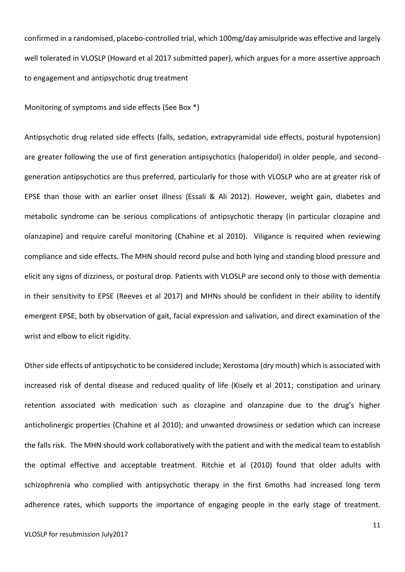confirmed in a randomised, placebo-controlled trial, which 100mg/day amisulpride was effective and largely well tolerated in VLOSLP (Howard et al 2017 submitted paper), which argues for a more assertive approach to engagement and antipsychotic drug treatment

Monitoring of symptoms and side effects (See Box \*)

Antipsychotic drug related side effects (falls, sedation, extrapyramidal side effects, postural hypotension) are greater following the use of first generation antipsychotics (haloperidol) in older people, and secondgeneration antipsychotics are thus preferred, particularly for those with VLOSLP who are at greater risk of EPSE than those with an earlier onset illness (Essali & Ali 2012). However, weight gain, diabetes and metabolic syndrome can be serious complications of antipsychotic therapy (in particular clozapine and olanzapine) and require careful monitoring (Chahine et al 2010). Viligance is required when reviewing compliance and side effects. The MHN should record pulse and both lying and standing blood pressure and elicit any signs of dizziness, or postural drop. Patients with VLOSLP are second only to those with dementia in their sensitivity to EPSE (Reeves et al 2017) and MHNs should be confident in their ability to identify emergent EPSE, both by observation of gait, facial expression and salivation, and direct examination of the wrist and elbow to elicit rigidity.

Other side effects of antipsychotic to be considered include; Xerostoma (dry mouth) which is associated with increased risk of dental disease and reduced quality of life (Kisely et al 2011; constipation and urinary retention associated with medication such as clozapine and olanzapine due to the drug's higher anticholinergic properties (Chahine et al 2010); and unwanted drowsiness or sedation which can increase the falls risk. The MHN should work collaboratively with the patient and with the medical team to establish the optimal effective and acceptable treatment. Ritchie et al (2010) found that older adults with schizophrenia who complied with antipsychotic therapy in the first 6moths had increased long term adherence rates, which supports the importance of engaging people in the early stage of treatment.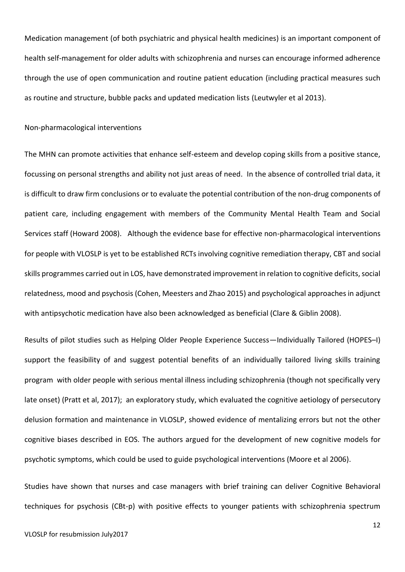Medication management (of both psychiatric and physical health medicines) is an important component of health self-management for older adults with schizophrenia and nurses can encourage informed adherence through the use of open communication and routine patient education (including practical measures such as routine and structure, bubble packs and updated medication lists (Leutwyler et al 2013).

#### Non-pharmacological interventions

The MHN can promote activities that enhance self-esteem and develop coping skills from a positive stance, focussing on personal strengths and ability not just areas of need. In the absence of controlled trial data, it is difficult to draw firm conclusions or to evaluate the potential contribution of the non-drug components of patient care, including engagement with members of the Community Mental Health Team and Social Services staff (Howard 2008). Although the evidence base for effective non-pharmacological interventions for people with VLOSLP is yet to be established RCTs involving cognitive remediation therapy, CBT and social skills programmes carried out in LOS, have demonstrated improvement in relation to cognitive deficits, social relatedness, mood and psychosis (Cohen, Meesters and Zhao 2015) and psychological approaches in adjunct with antipsychotic medication have also been acknowledged as beneficial (Clare & Giblin 2008).

Results of pilot studies such as Helping Older People Experience Success—Individually Tailored (HOPES–I) support the feasibility of and suggest potential benefits of an individually tailored living skills training program with older people with serious mental illness including schizophrenia (though not specifically very late onset) (Pratt et al, 2017); an exploratory study, which evaluated the cognitive aetiology of persecutory delusion formation and maintenance in VLOSLP, showed evidence of mentalizing errors but not the other cognitive biases described in EOS. The authors argued for the development of new cognitive models for psychotic symptoms, which could be used to guide psychological interventions (Moore et al 2006).

Studies have shown that nurses and case managers with brief training can deliver Cognitive Behavioral techniques for psychosis (CBt-p) with positive effects to younger patients with schizophrenia spectrum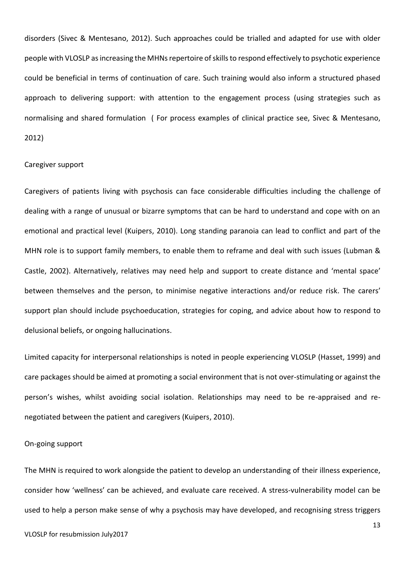disorders (Sivec & Mentesano, 2012). Such approaches could be trialled and adapted for use with older people with VLOSLP as increasing the MHNs repertoire of skills to respond effectively to psychotic experience could be beneficial in terms of continuation of care. Such training would also inform a structured phased approach to delivering support: with attention to the engagement process (using strategies such as normalising and shared formulation ( For process examples of clinical practice see, Sivec & Mentesano, 2012)

#### Caregiver support

Caregivers of patients living with psychosis can face considerable difficulties including the challenge of dealing with a range of unusual or bizarre symptoms that can be hard to understand and cope with on an emotional and practical level (Kuipers, 2010). Long standing paranoia can lead to conflict and part of the MHN role is to support family members, to enable them to reframe and deal with such issues (Lubman & Castle, 2002). Alternatively, relatives may need help and support to create distance and 'mental space' between themselves and the person, to minimise negative interactions and/or reduce risk. The carers' support plan should include psychoeducation, strategies for coping, and advice about how to respond to delusional beliefs, or ongoing hallucinations.

Limited capacity for interpersonal relationships is noted in people experiencing VLOSLP (Hasset, 1999) and care packages should be aimed at promoting a social environment that is not over-stimulating or against the person's wishes, whilst avoiding social isolation. Relationships may need to be re-appraised and renegotiated between the patient and caregivers (Kuipers, 2010).

#### On-going support

The MHN is required to work alongside the patient to develop an understanding of their illness experience, consider how 'wellness' can be achieved, and evaluate care received. A stress-vulnerability model can be used to help a person make sense of why a psychosis may have developed, and recognising stress triggers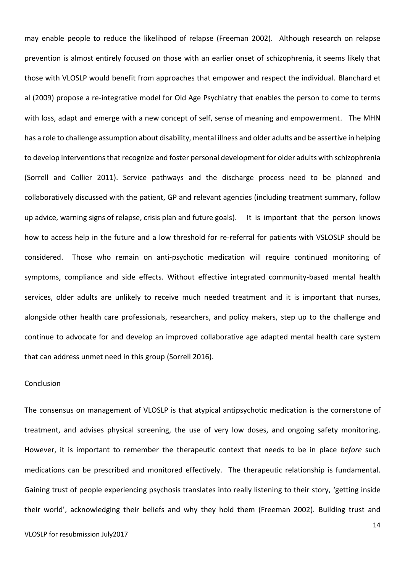may enable people to reduce the likelihood of relapse (Freeman 2002). Although research on relapse prevention is almost entirely focused on those with an earlier onset of schizophrenia, it seems likely that those with VLOSLP would benefit from approaches that empower and respect the individual. Blanchard et al (2009) propose a re-integrative model for Old Age Psychiatry that enables the person to come to terms with loss, adapt and emerge with a new concept of self, sense of meaning and empowerment. The MHN has a role to challenge assumption about disability, mental illness and older adults and be assertive in helping to develop interventions that recognize and foster personal development for older adults with schizophrenia (Sorrell and Collier 2011). Service pathways and the discharge process need to be planned and collaboratively discussed with the patient, GP and relevant agencies (including treatment summary, follow up advice, warning signs of relapse, crisis plan and future goals). It is important that the person knows how to access help in the future and a low threshold for re-referral for patients with VSLOSLP should be considered. Those who remain on anti-psychotic medication will require continued monitoring of symptoms, compliance and side effects. Without effective integrated community-based mental health services, older adults are unlikely to receive much needed treatment and it is important that nurses, alongside other health care professionals, researchers, and policy makers, step up to the challenge and continue to advocate for and develop an improved collaborative age adapted mental health care system that can address unmet need in this group (Sorrell 2016).

### **Conclusion**

The consensus on management of VLOSLP is that atypical antipsychotic medication is the cornerstone of treatment, and advises physical screening, the use of very low doses, and ongoing safety monitoring. However, it is important to remember the therapeutic context that needs to be in place *before* such medications can be prescribed and monitored effectively. The therapeutic relationship is fundamental. Gaining trust of people experiencing psychosis translates into really listening to their story, 'getting inside their world', acknowledging their beliefs and why they hold them (Freeman 2002). Building trust and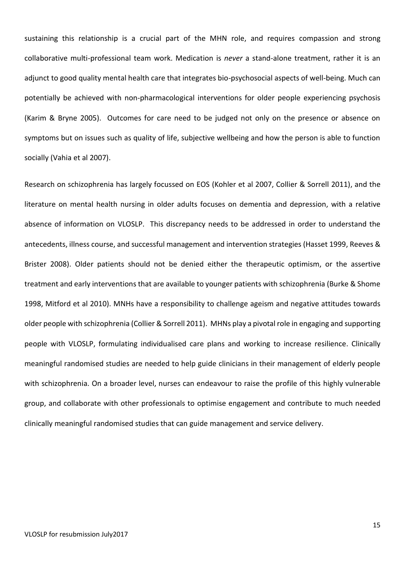sustaining this relationship is a crucial part of the MHN role, and requires compassion and strong collaborative multi-professional team work. Medication is *never* a stand-alone treatment, rather it is an adjunct to good quality mental health care that integrates bio-psychosocial aspects of well-being. Much can potentially be achieved with non-pharmacological interventions for older people experiencing psychosis (Karim & Bryne 2005). Outcomes for care need to be judged not only on the presence or absence on symptoms but on issues such as quality of life, subjective wellbeing and how the person is able to function socially (Vahia et al 2007).

Research on schizophrenia has largely focussed on EOS (Kohler et al 2007, Collier & Sorrell 2011), and the literature on mental health nursing in older adults focuses on dementia and depression, with a relative absence of information on VLOSLP. This discrepancy needs to be addressed in order to understand the antecedents, illness course, and successful management and intervention strategies (Hasset 1999, Reeves & Brister 2008). Older patients should not be denied either the therapeutic optimism, or the assertive treatment and early interventions that are available to younger patients with schizophrenia (Burke & Shome 1998, Mitford et al 2010). MNHs have a responsibility to challenge ageism and negative attitudes towards older people with schizophrenia (Collier & Sorrell 2011). MHNs play a pivotal role in engaging and supporting people with VLOSLP, formulating individualised care plans and working to increase resilience. Clinically meaningful randomised studies are needed to help guide clinicians in their management of elderly people with schizophrenia. On a broader level, nurses can endeavour to raise the profile of this highly vulnerable group, and collaborate with other professionals to optimise engagement and contribute to much needed clinically meaningful randomised studies that can guide management and service delivery.